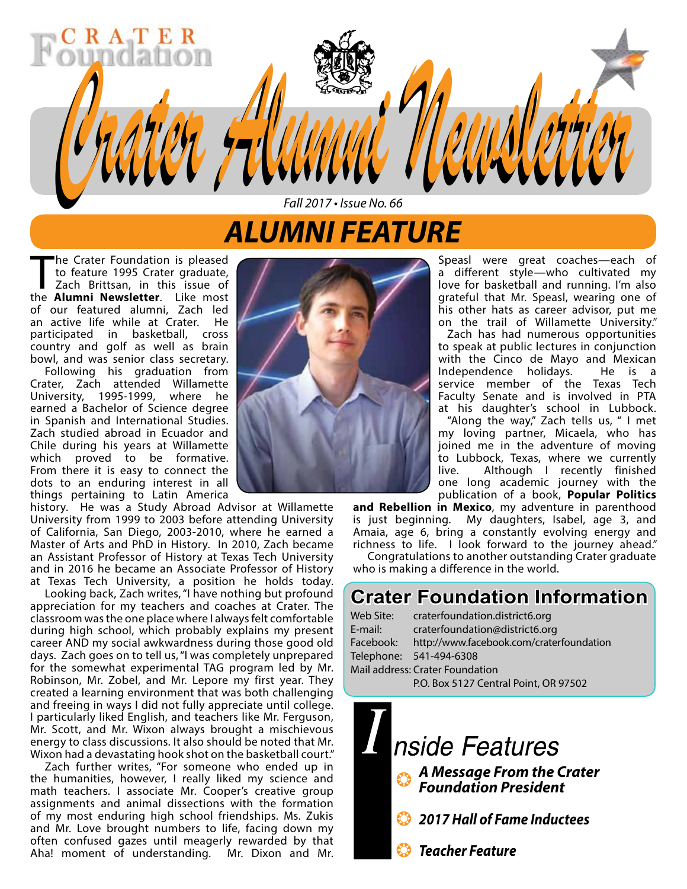# *ALUMNI FEATURE*

*Fall 2017 • Issue No. 66*

*Crater Alumni Newsletter Crater Alumni Newsletter*

The Crater Foundation is pleased<br>to feature 1995 Crater graduate,<br>Zach Brittsan, in this issue of<br>the **Alumni Newsletter** Like most to feature 1995 Crater graduate, Zach Brittsan, in this issue of the **Alumni Newsletter**. Like most of our featured alumni, Zach led<br>an active life while at Crater. He an active life while at Crater. participated in basketball, cross country and golf as well as brain bowl, and was senior class secretary.

Following his graduation from Crater, Zach attended Willamette University, 1995-1999, where he earned a Bachelor of Science degree in Spanish and International Studies. Zach studied abroad in Ecuador and Chile during his years at Willamette which proved to be formative. From there it is easy to connect the dots to an enduring interest in all things pertaining to Latin America

history. He was a Study Abroad Advisor at Willamette University from 1999 to 2003 before attending University of California, San Diego, 2003-2010, where he earned a Master of Arts and PhD in History. In 2010, Zach became an Assistant Professor of History at Texas Tech University and in 2016 he became an Associate Professor of History at Texas Tech University, a position he holds today.

Looking back, Zach writes, "I have nothing but profound appreciation for my teachers and coaches at Crater. The classroom was the one place where I always felt comfortable during high school, which probably explains my present career AND my social awkwardness during those good old days. Zach goes on to tell us, "I was completely unprepared for the somewhat experimental TAG program led by Mr. Robinson, Mr. Zobel, and Mr. Lepore my first year. They created a learning environment that was both challenging and freeing in ways I did not fully appreciate until college. I particularly liked English, and teachers like Mr. Ferguson, Mr. Scott, and Mr. Wixon always brought a mischievous energy to class discussions. It also should be noted that Mr. Wixon had a devastating hook shot on the basketball court."

Zach further writes, "For someone who ended up in the humanities, however, I really liked my science and math teachers. I associate Mr. Cooper's creative group assignments and animal dissections with the formation of my most enduring high school friendships. Ms. Zukis and Mr. Love brought numbers to life, facing down my often confused gazes until meagerly rewarded by that Aha! moment of understanding. Mr. Dixon and Mr.



Speasl were great coaches—each of a different style—who cultivated my love for basketball and running. I'm also grateful that Mr. Speasl, wearing one of his other hats as career advisor, put me on the trail of Willamette University." Zach has had numerous opportunities to speak at public lectures in conjunction with the Cinco de Mayo and Mexican

Independence holidays. He is a service member of the Texas Tech Faculty Senate and is involved in PTA at his daughter's school in Lubbock.

"Along the way," Zach tells us, " I met my loving partner, Micaela, who has joined me in the adventure of moving to Lubbock, Texas, where we currently live. Although I recently finished one long academic journey with the publication of a book, **Popular Politics** 

**and Rebellion in Mexico**, my adventure in parenthood is just beginning. My daughters, Isabel, age 3, and Amaia, age 6, bring a constantly evolving energy and richness to life. I look forward to the journey ahead."

Congratulations to another outstanding Crater graduate who is making a difference in the world.

## **Crater Foundation Information**

| Web Site:                       | craterfoundation.district6.org           |  |  |  |  |
|---------------------------------|------------------------------------------|--|--|--|--|
| E-mail:                         | craterfoundation@district6.org           |  |  |  |  |
| Facebook:                       | http://www.facebook.com/craterfoundation |  |  |  |  |
|                                 | Telephone: 541-494-6308                  |  |  |  |  |
| Mail address: Crater Foundation |                                          |  |  |  |  |
|                                 | P.O. Box 5127 Central Point, OR 97502    |  |  |  |  |
|                                 |                                          |  |  |  |  |

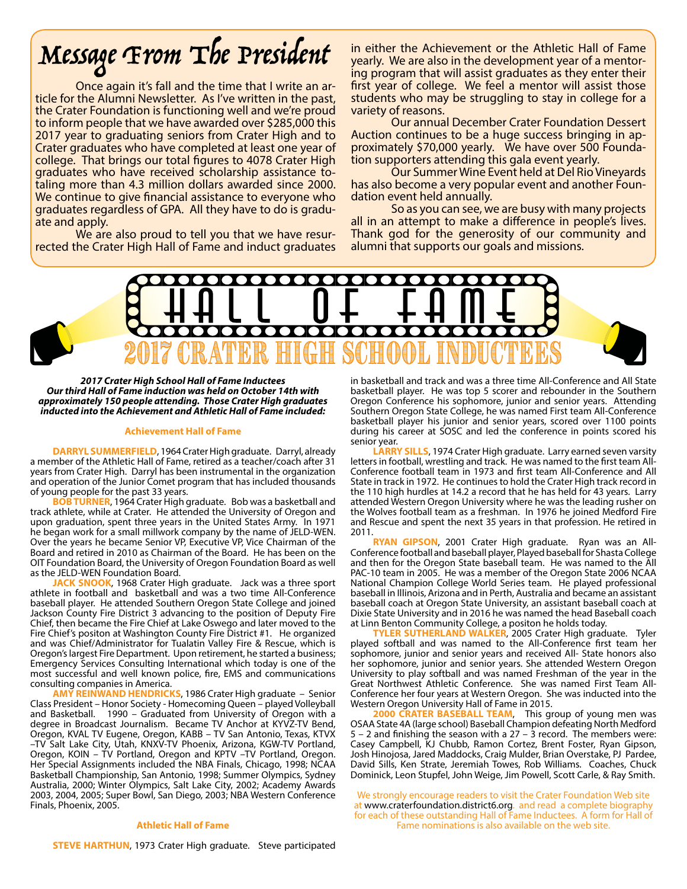# Message From The President

Once again it's fall and the time that I write an ar- ticle for the Alumni Newsletter. As I've written in the past, the Crater Foundation is functioning well and we're proud to inform people that we have awarded over \$285,000 this 2017 year to graduating seniors from Crater High and to Crater graduates who have completed at least one year of college. That brings our total figures to 4078 Crater High taling more than 4.3 million dollars awarded since 2000. We continue to give financial assistance to everyone who graduates regardless of GPA. All they have to do is gradu- ate and apply.

rected the Crater High Hall of Fame and induct graduates

in either the Achievement or the Athletic Hall of Fame yearly. We are also in the development year of a mentor- ing program that will assist graduates as they enter their first year of college. We feel a mentor will assist those students who may be struggling to stay in college for a variety of reasons.

Our annual December Crater Foundation Dessert Auction continues to be a huge success bringing in ap-<br>proximately \$70,000 yearly. We have over 500 Founda-<br>tion supporters attending this gala event yearly.

Our Summer Wine Event held at Del Rio Vineyards has also become a very popular event and another Foun- dation event held annually.

So as you can see, we are busy with many projects all in an attempt to make a difference in people's lives. Thank god for the generosity of our community and alumni that supports our goals and missions.



*2017 Crater High School Hall of Fame Inductees Our third Hall of Fame induction was held on October 14th with approximately 150 people attending. Those Crater High graduates inducted into the Achievement and Athletic Hall of Fame included:*

#### **Achievement Hall of Fame**

**DARRYL SUMMERFIELD**, 1964 Crater High graduate. Darryl, already a member of the Athletic Hall of Fame, retired as a teacher/coach after 31 years from Crater High. Darryl has been instrumental in the organization and operation of the Junior Comet program that has included thousands of young people for the past 33 years.

**BOB TURNER**, 1964 Crater High graduate. Bob was a basketball and track athlete, while at Crater. He attended the University of Oregon and upon graduation, spent three years in the United States Army. In 1971 he began work for a small millwork company by the name of JELD-WEN. Over the years he became Senior VP, Executive VP, Vice Chairman of the Board and retired in 2010 as Chairman of the Board. He has been on the OIT Foundation Board, the University of Oregon Foundation Board as well as the JELD-WEN Foundation Board.

**JACK SNOOK**, 1968 Crater High graduate. Jack was a three sport athlete in football and basketball and was a two time All-Conference baseball player. He attended Southern Oregon State College and joined Jackson County Fire District 3 advancing to the position of Deputy Fire Chief, then became the Fire Chief at Lake Oswego and later moved to the Fire Chief's positon at Washington County Fire District #1. He organized and was Chief/Administrator for Tualatin Valley Fire & Rescue, which is Oregon's largest Fire Department. Upon retirement, he started a business; Emergency Services Consulting International which today is one of the most successful and well known police, fire, EMS and communications consulting companies in America.

**AMY REINWAND HENDRICKS**, 1986 Crater High graduate – Senior Class President – Honor Society - Homecoming Queen – played Volleyball and Basketball. 1990 – Graduated from University of Oregon with a degree in Broadcast Journalism. Became TV Anchor at KYVZ-TV Bend, Oregon, KVAL TV Eugene, Oregon, KABB – TV San Antonio, Texas, KTVX –TV Salt Lake City, Utah, KNXV-TV Phoenix, Arizona, KGW-TV Portland, Oregon, KOIN – TV Portland, Oregon and KPTV –TV Portland, Oregon. Her Special Assignments included the NBA Finals, Chicago, 1998; NCAA Basketball Championship, San Antonio, 1998; Summer Olympics, Sydney Australia, 2000; Winter Olympics, Salt Lake City, 2002; Academy Awards 2003, 2004, 2005; Super Bowl, San Diego, 2003; NBA Western Conference Finals, Phoenix, 2005.

#### **Athletic Hall of Fame**

in basketball and track and was a three time All-Conference and All State basketball player. He was top 5 scorer and rebounder in the Southern Oregon Conference his sophomore, junior and senior years. Attending Southern Oregon State College, he was named First team All-Conference basketball player his junior and senior years, scored over 1100 points during his career at SOSC and led the conference in points scored his senior year.

**LARRY SILLS**, 1974 Crater High graduate. Larry earned seven varsity letters in football, wrestling and track. He was named to the first team All-Conference football team in 1973 and first team All-Conference and All State in track in 1972. He continues to hold the Crater High track record in the 110 high hurdles at 14.2 a record that he has held for 43 years. Larry attended Western Oregon University where he was the leading rusher on the Wolves football team as a freshman. In 1976 he joined Medford Fire and Rescue and spent the next 35 years in that profession. He retired in 2011.

**RYAN GIPSON**, 2001 Crater High graduate. Ryan was an All-Conference football and baseball player, Played baseball for Shasta College and then for the Oregon State baseball team. He was named to the All PAC-10 team in 2005. He was a member of the Oregon State 2006 NCAA National Champion College World Series team. He played professional baseball in Illinois, Arizona and in Perth, Australia and became an assistant baseball coach at Oregon State University, an assistant baseball coach at Dixie State University and in 2016 he was named the head Baseball coach at Linn Benton Community College, a positon he holds today.

**ER SUTHERLAND WALKER, 2005 Crater High graduate. Tyler** played softball and was named to the All-Conference first team her sophomore, junior and senior years and received All- State honors also her sophomore, junior and senior years. She attended Western Oregon University to play softball and was named Freshman of the year in the Great Northwest Athletic Conference. She was named First Team All-Conference her four years at Western Oregon. She was inducted into the Western Oregon University Hall of Fame in 2015.

**2000 CRATER BASEBALL TEAM**, This group of young men was OSAA State 4A (large school) Baseball Champion defeating North Medford  $5 - 2$  and finishing the season with a 27 – 3 record. The members were: Casey Campbell, KJ Chubb, Ramon Cortez, Brent Foster, Ryan Gipson, Josh Hinojosa, Jared Maddocks, Craig Mulder, Brian Overstake, PJ Pardee, David Sills, Ken Strate, Jeremiah Towes, Rob Williams. Coaches, Chuck Dominick, Leon Stupfel, John Weige, Jim Powell, Scott Carle, & Ray Smith.

We strongly encourage readers to visit the Crater Foundation Web site at www.craterfoundation.district6.org. and read a complete biography for each of these outstanding Hall of Fame Inductees. A form for Hall of Fame nominations is also available on the web site.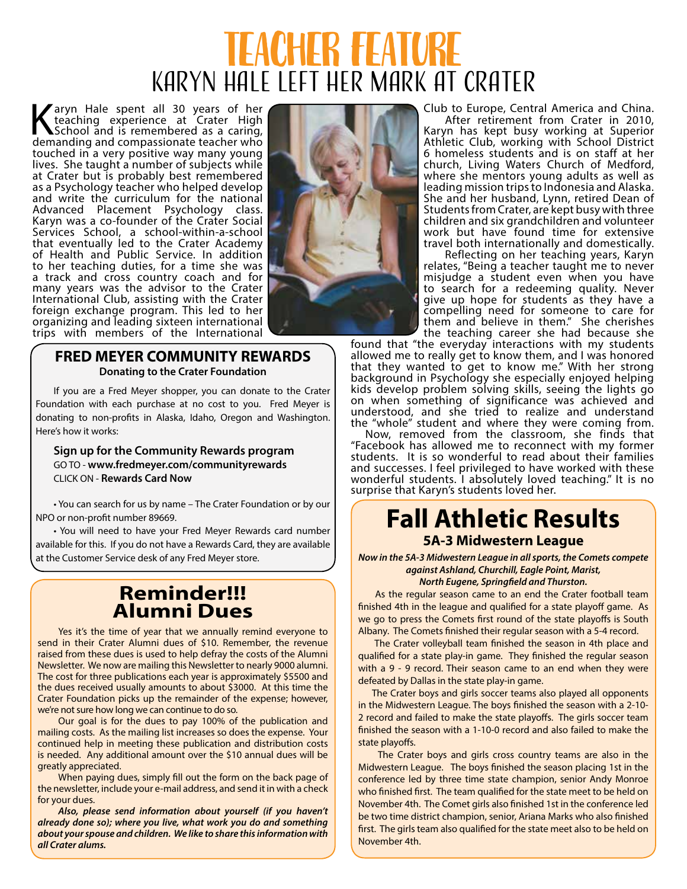# Teacher Feature Karyn Hale Left Her Mark at Crater

Karyn Hale spent all 30 years of her<br>teaching experience at Crater High<br>School and is remembered as a caring,<br>demanding and compassionate teacher who teaching experience at Crater High School and is remembered as a caring, demanding and compassionate teacher who touched in a very positive way many young lives. She taught a number of subjects while at Crater but is probably best remembered as a Psychology teacher who helped develop and write the curriculum for the national Advanced Placement Psychology class. Karyn was a co-founder of the Crater Social Services School, a school-within-a-school that eventually led to the Crater Academy of Health and Public Service. In addition to her teaching duties, for a time she was a track and cross country coach and for many years was the advisor to the Crater International Club, assisting with the Crater foreign exchange program. This led to her organizing and leading sixteen international trips with members of the International



### **FRED MEYER COMMUNITY REWARDS Donating to the Crater Foundation**

If you are a Fred Meyer shopper, you can donate to the Crater Foundation with each purchase at no cost to you. Fred Meyer is donating to non-profits in Alaska, Idaho, Oregon and Washington. Here's how it works:

#### **Sign up for the Community Rewards program** GO TO - **www.fredmeyer.com/communityrewards** CLICK ON - **Rewards Card Now**

• You can search for us by name – The Crater Foundation or by our NPO or non-profit number 89669.

• You will need to have your Fred Meyer Rewards card number available for this. If you do not have a Rewards Card, they are available at the Customer Service desk of any Fred Meyer store.

### **Reminder!!! Alumni Dues**

Yes it's the time of year that we annually remind everyone to send in their Crater Alumni dues of \$10. Remember, the revenue raised from these dues is used to help defray the costs of the Alumni Newsletter. We now are mailing this Newsletter to nearly 9000 alumni. The cost for three publications each year is approximately \$5500 and the dues received usually amounts to about \$3000. At this time the Crater Foundation picks up the remainder of the expense; however, we're not sure how long we can continue to do so.

Our goal is for the dues to pay 100% of the publication and mailing costs. As the mailing list increases so does the expense. Your continued help in meeting these publication and distribution costs is needed. Any additional amount over the \$10 annual dues will be greatly appreciated.

When paying dues, simply fill out the form on the back page of the newsletter, include your e-mail address, and send it in with a check for your dues.

*Also, please send information about yourself (if you haven't already done so); where you live, what work you do and something about your spouse and children. We like to share this information with all Crater alums.*

Club to Europe, Central America and China.

After retirement from Crater in 2010, Karyn has kept busy working at Superior Athletic Club, working with School District 6 homeless students and is on staff at her church, Living Waters Church of Medford, where she mentors young adults as well as leading mission trips to Indonesia and Alaska. She and her husband, Lynn, retired Dean of Students from Crater, are kept busy with three children and six grandchildren and volunteer work but have found time for extensive travel both internationally and domestically.

Reflecting on her teaching years, Karyn relates, "Being a teacher taught me to never misjudge a student even when you have to search for a redeeming quality. Never give up hope for students as they have a compelling need for someone to care for them and believe in them." She cherishes the teaching career she had because she

found that "the everyday interactions with my students allowed me to really get to know them, and I was honored that they wanted to get to know me." With her strong background in Psychology she especially enjoyed helping kids develop problem solving skills, seeing the lights go on when something of significance was achieved and understood, and she tried to realize and understand the "whole" student and where they were coming from.

Now, removed from the classroom, she finds that "Facebook has allowed me to reconnect with my former students. It is so wonderful to read about their families and successes. I feel privileged to have worked with these wonderful students. I absolutely loved teaching." It is no surprise that Karyn's students loved her.

## **Fall Athletic Results 5A-3 Midwestern League**

*Now in the 5A-3 Midwestern League in all sports, the Comets compete against Ashland, Churchill, Eagle Point, Marist, North Eugene, Springfield and Thurston.* 

As the regular season came to an end the Crater football team finished 4th in the league and qualified for a state playoff game. As we go to press the Comets first round of the state playoffs is South Albany. The Comets finished their regular season with a 5-4 record.

 The Crater volleyball team finished the season in 4th place and qualified for a state play-in game. They finished the regular season with a 9 - 9 record. Their season came to an end when they were defeated by Dallas in the state play-in game.

 The Crater boys and girls soccer teams also played all opponents in the Midwestern League. The boys finished the season with a 2-10- 2 record and failed to make the state playoffs. The girls soccer team finished the season with a 1-10-0 record and also failed to make the state playoffs.

 The Crater boys and girls cross country teams are also in the Midwestern League. The boys finished the season placing 1st in the conference led by three time state champion, senior Andy Monroe who finished first. The team qualified for the state meet to be held on November 4th. The Comet girls also finished 1st in the conference led be two time district champion, senior, Ariana Marks who also finished first. The girls team also qualified for the state meet also to be held on November 4th.